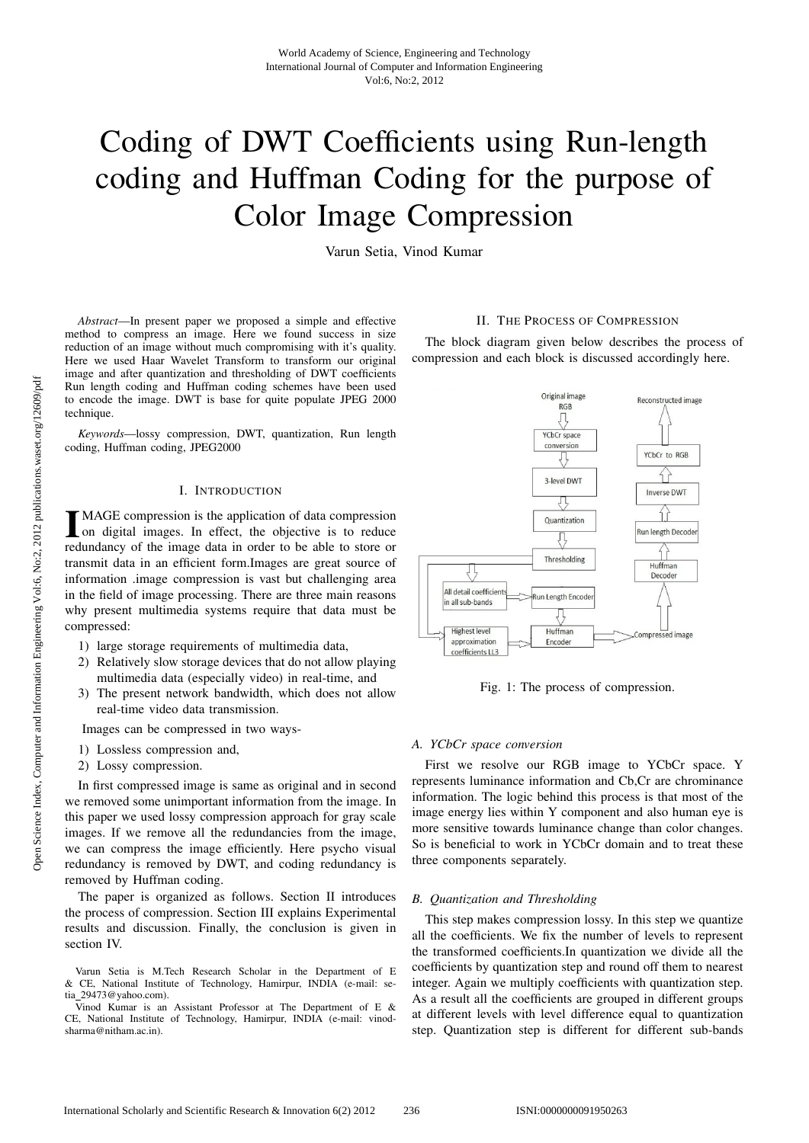# Coding of DWT Coefficients using Run-length coding and Huffman Coding for the purpose of Color Image Compression

Varun Setia, Vinod Kumar

*Abstract*—In present paper we proposed a simple and effective method to compress an image. Here we found success in size reduction of an image without much compromising with it's quality. Here we used Haar Wavelet Transform to transform our original image and after quantization and thresholding of DWT coefficients Run length coding and Huffman coding schemes have been used to encode the image. DWT is base for quite populate JPEG 2000 technique.

*Keywords*—lossy compression, DWT, quantization, Run length coding, Huffman coding, JPEG2000

### I. INTRODUCTION

**IMAGE** compression is the application of data compression on digital images. In effect, the objective is to reduce redundancy of the image data in order to be able to store or MAGE compression is the application of data compression on digital images. In effect, the objective is to reduce transmit data in an efficient form.Images are great source of information .image compression is vast but challenging area in the field of image processing. There are three main reasons why present multimedia systems require that data must be compressed:

- 1) large storage requirements of multimedia data,
- 2) Relatively slow storage devices that do not allow playing multimedia data (especially video) in real-time, and
- 3) The present network bandwidth, which does not allow real-time video data transmission.

Images can be compressed in two ways-

- 1) Lossless compression and,
- 2) Lossy compression.

In first compressed image is same as original and in second we removed some unimportant information from the image. In this paper we used lossy compression approach for gray scale images. If we remove all the redundancies from the image, we can compress the image efficiently. Here psycho visual redundancy is removed by DWT, and coding redundancy is removed by Huffman coding.

The paper is organized as follows. Section II introduces the process of compression. Section III explains Experimental results and discussion. Finally, the conclusion is given in section IV.

### II. THE PROCESS OF COMPRESSION

The block diagram given below describes the process of compression and each block is discussed accordingly here.



Fig. 1: The process of compression.

#### *A. YCbCr space conversion*

First we resolve our RGB image to YCbCr space. Y represents luminance information and Cb,Cr are chrominance information. The logic behind this process is that most of the image energy lies within Y component and also human eye is more sensitive towards luminance change than color changes. So is beneficial to work in YCbCr domain and to treat these three components separately.

#### *B. Quantization and Thresholding*

This step makes compression lossy. In this step we quantize all the coefficients. We fix the number of levels to represent the transformed coefficients.In quantization we divide all the coefficients by quantization step and round off them to nearest integer. Again we multiply coefficients with quantization step. As a result all the coefficients are grouped in different groups at different levels with level difference equal to quantization step. Quantization step is different for different sub-bands

Varun Setia is M.Tech Research Scholar in the Department of E & CE, National Institute of Technology, Hamirpur, INDIA (e-mail: setia 29473@yahoo.com).

Vinod Kumar is an Assistant Professor at The Department of E & CE, National Institute of Technology, Hamirpur, INDIA (e-mail: vinodsharma@nitham.ac.in).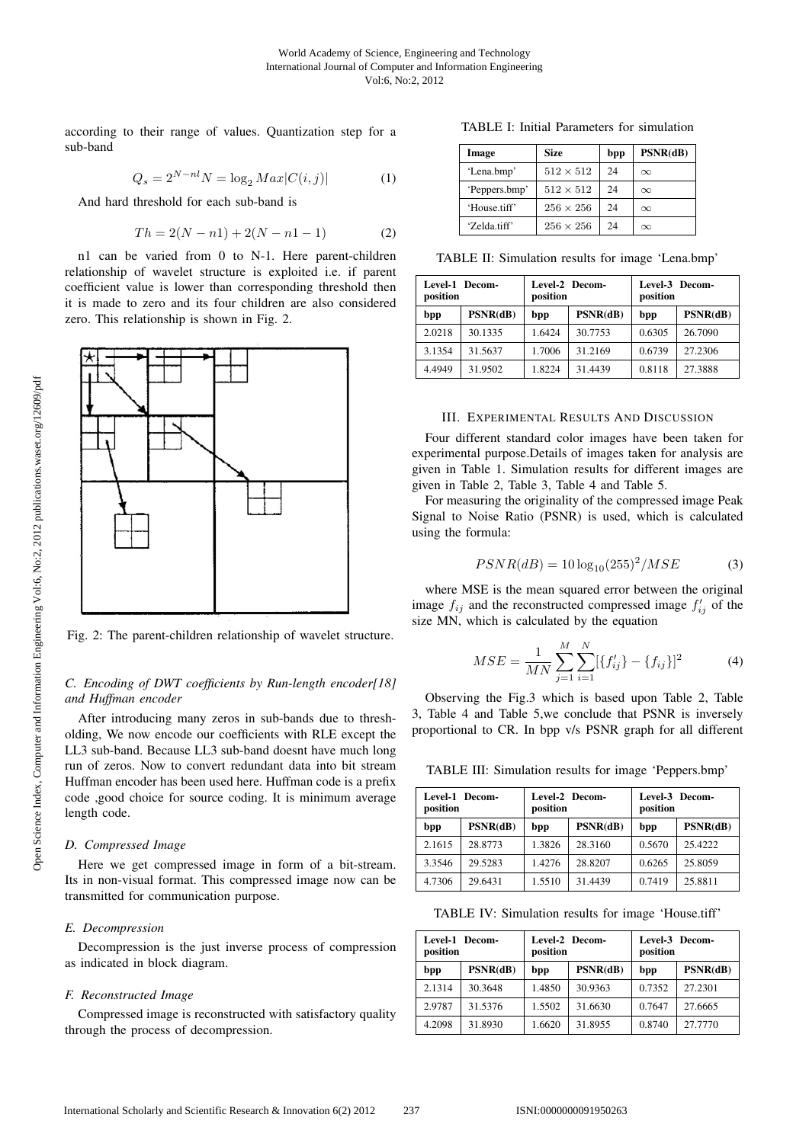according to their range of values. Quantization step for a sub-band

$$
Q_s = 2^{N-nl} N = \log_2 Max |C(i, j)|
$$
 (1)

And hard threshold for each sub-band is

$$
Th = 2(N - n1) + 2(N - n1 - 1)
$$
 (2)

n1 can be varied from 0 to N-1. Here parent-children relationship of wavelet structure is exploited i.e. if parent coefficient value is lower than corresponding threshold then it is made to zero and its four children are also considered zero. This relationship is shown in Fig. 2.



Fig. 2: The parent-children relationship of wavelet structure.

## *C. Encoding of DWT coefficients by Run-length encoder[18] and Huffman encoder*

After introducing many zeros in sub-bands due to thresholding, We now encode our coefficients with RLE except the LL3 sub-band. Because LL3 sub-band doesnt have much long run of zeros. Now to convert redundant data into bit stream Huffman encoder has been used here. Huffman code is a prefix code ,good choice for source coding. It is minimum average length code.

#### *D. Compressed Image*

Here we get compressed image in form of a bit-stream. Its in non-visual format. This compressed image now can be transmitted for communication purpose.

## *E. Decompression*

Decompression is the just inverse process of compression as indicated in block diagram.

#### *F. Reconstructed Image*

Compressed image is reconstructed with satisfactory quality through the process of decompression.

TABLE I: Initial Parameters for simulation

| Image         | Size             | bpp | PSNR(dB) |
|---------------|------------------|-----|----------|
| 'Lena.bmp'    | $512 \times 512$ | 24  | $\infty$ |
| 'Peppers.bmp' | $512 \times 512$ | 24  | $\infty$ |
| 'House.tiff'  | $256 \times 256$ | 24  | $\infty$ |
| 'Zelda.tiff'  | $256 \times 256$ | 24  | $\infty$ |

TABLE II: Simulation results for image 'Lena.bmp'

| Level-1 Decom-<br>position |          | position | Level-2 Decom- | Level-3 Decom-<br>position |          |  |
|----------------------------|----------|----------|----------------|----------------------------|----------|--|
| bpp                        | PSNR(dB) | bpp      | PSNR(dB)       | bpp                        | PSNR(dB) |  |
| 2.0218                     | 30.1335  | 1.6424   | 30.7753        | 0.6305                     | 26.7090  |  |
| 3.1354                     | 31.5637  | 1.7006   | 31.2169        | 0.6739                     | 27.2306  |  |
| 4.4949                     | 31.9502  | 1.8224   | 31.4439        | 0.8118                     | 27.3888  |  |

#### III. EXPERIMENTAL RESULTS AND DISCUSSION

Four different standard color images have been taken for experimental purpose.Details of images taken for analysis are given in Table 1. Simulation results for different images are given in Table 2, Table 3, Table 4 and Table 5.

For measuring the originality of the compressed image Peak Signal to Noise Ratio (PSNR) is used, which is calculated using the formula:

$$
PSNR(dB) = 10 \log_{10}(255)^2 / MSE \tag{3}
$$

where MSE is the mean squared error between the original image  $f_{ij}$  and the reconstructed compressed image  $f'_{ij}$  of the size MN, which is calculated by the equation

$$
MSE = \frac{1}{MN} \sum_{j=1}^{M} \sum_{i=1}^{N} [\{f'_{ij}\} - \{f_{ij}\}]^2
$$
 (4)

Observing the Fig.3 which is based upon Table 2, Table 3, Table 4 and Table 5,we conclude that PSNR is inversely proportional to CR. In bpp v/s PSNR graph for all different

TABLE III: Simulation results for image 'Peppers.bmp'

| Level-1 Decom-<br>position |          | position | Level-2 Decom- | Level-3 Decom-<br>position |          |  |
|----------------------------|----------|----------|----------------|----------------------------|----------|--|
| bpp                        | PSNR(dB) | bpp      | PSNR(dB)       | bpp                        | PSNR(dB) |  |
| 2.1615                     | 28.8773  | 1.3826   | 28.3160        | 0.5670                     | 25 4222  |  |
| 3.3546                     | 29.5283  | 1.4276   | 28.8207        | 0.6265                     | 25.8059  |  |
| 4.7306                     | 29.6431  | 1.5510   | 31.4439        | 0.7419                     | 25.8811  |  |

TABLE IV: Simulation results for image 'House.tiff'

| Level-1 Decom-<br>position |          | position | Level-2 Decom- | Level-3 Decom-<br>position |          |
|----------------------------|----------|----------|----------------|----------------------------|----------|
| bpp                        | PSNR(dB) | bpp      | PSNR(dB)       | bpp                        | PSNR(dB) |
| 2.1314                     | 30.3648  | 1.4850   | 30.9363        | 0.7352                     | 27.2301  |
| 2.9787                     | 31.5376  | 1.5502   | 31.6630        | 0.7647                     | 27.6665  |
| 4.2098                     | 31.8930  | 1.6620   | 31.8955        | 0.8740                     | 27.7770  |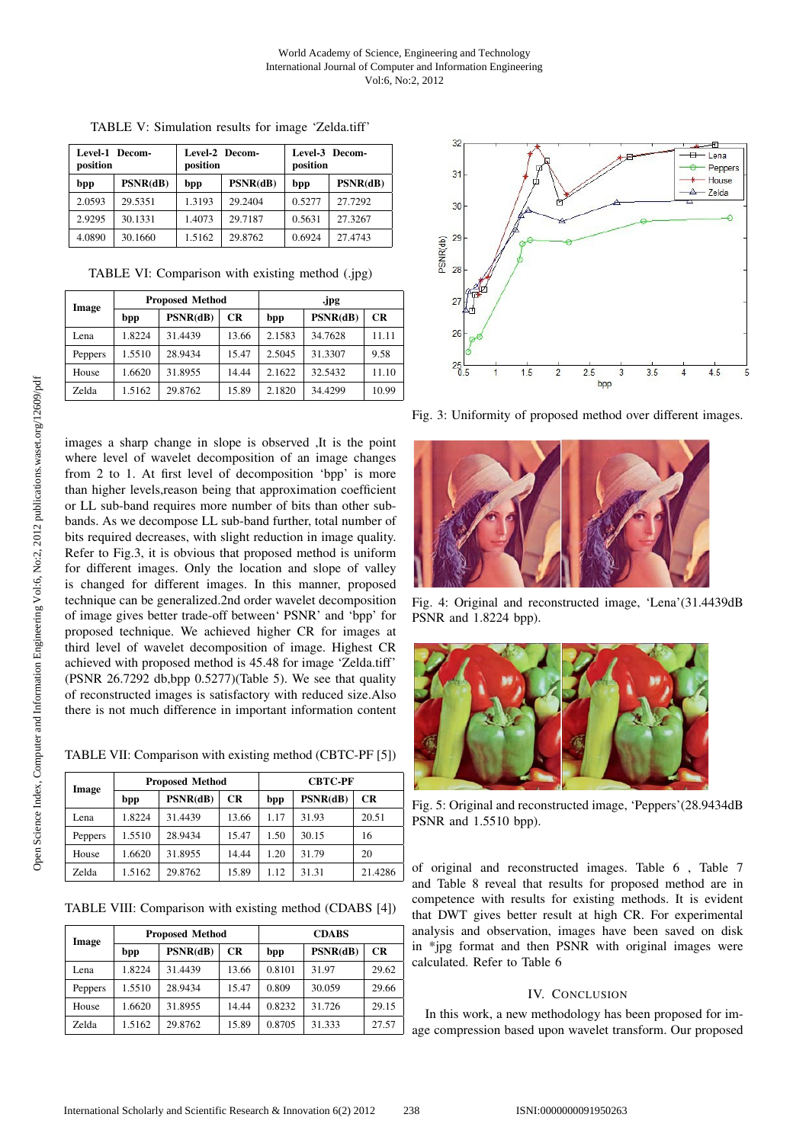| Level-1 Decom-<br>position |          | position | Level-2 Decom- | Level-3 Decom-<br>position |          |  |
|----------------------------|----------|----------|----------------|----------------------------|----------|--|
| bpp                        | PSNR(dB) | bpp      | PSNR(dB)       | bpp                        | PSNR(dB) |  |
| 2.0593                     | 29.5351  | 1.3193   | 29.2404        | 0.5277                     | 27.7292  |  |
| 2.9295                     | 30.1331  | 1.4073   | 29.7187        | 0.5631                     | 27.3267  |  |
| 4.0890                     | 30.1660  | 1.5162   | 29.8762        | 0.6924                     | 27.4743  |  |

TABLE V: Simulation results for image 'Zelda.tiff'

TABLE VI: Comparison with existing method (.jpg)

| Image   | <b>Proposed Method</b> |          |       | .jpg   |          |           |
|---------|------------------------|----------|-------|--------|----------|-----------|
|         | bpp                    | PSNR(dB) | CR    | bpp    | PSNR(dB) | <b>CR</b> |
| Lena    | 1.8224                 | 31.4439  | 13.66 | 2.1583 | 34.7628  | 11.11     |
| Peppers | 1.5510                 | 28.9434  | 15.47 | 2.5045 | 31.3307  | 9.58      |
| House   | 1.6620                 | 31.8955  | 14.44 | 2.1622 | 32.5432  | 11.10     |
| Zelda   | 1.5162                 | 29.8762  | 15.89 | 2.1820 | 34.4299  | 10.99     |

images a sharp change in slope is observed ,It is the point where level of wavelet decomposition of an image changes from 2 to 1. At first level of decomposition 'bpp' is more than higher levels,reason being that approximation coefficient or LL sub-band requires more number of bits than other subbands. As we decompose LL sub-band further, total number of bits required decreases, with slight reduction in image quality. Refer to Fig.3, it is obvious that proposed method is uniform for different images. Only the location and slope of valley is changed for different images. In this manner, proposed technique can be generalized.2nd order wavelet decomposition of image gives better trade-off between' PSNR' and 'bpp' for proposed technique. We achieved higher CR for images at third level of wavelet decomposition of image. Highest CR achieved with proposed method is 45.48 for image 'Zelda.tiff' (PSNR 26.7292 db,bpp 0.5277)(Table 5). We see that quality of reconstructed images is satisfactory with reduced size.Also there is not much difference in important information content

TABLE VII: Comparison with existing method (CBTC-PF [5])

| Image        | <b>Proposed Method</b> |          |       | <b>CBTC-PF</b> |          |         |
|--------------|------------------------|----------|-------|----------------|----------|---------|
|              | bpp                    | PSNR(dB) | CR    | bpp            | PSNR(dB) | CR      |
| Lena         | 1.8224                 | 31.4439  | 13.66 | 1.17           | 31.93    | 20.51   |
| Peppers      | 1.5510                 | 28.9434  | 15.47 | 1.50           | 30.15    | 16      |
| House        | 1.6620                 | 31.8955  | 14.44 | 1.20           | 31.79    | 20      |
| <b>Zelda</b> | 1.5162                 | 29.8762  | 15.89 | 1.12           | 31.31    | 21.4286 |

TABLE VIII: Comparison with existing method (CDABS [4])

| Image        | <b>Proposed Method</b> |          |       | <b>CDABS</b> |          |           |
|--------------|------------------------|----------|-------|--------------|----------|-----------|
|              | bpp                    | PSNR(dB) | CR    | bpp          | PSNR(dB) | <b>CR</b> |
| Lena         | 1.8224                 | 31.4439  | 13.66 | 0.8101       | 31.97    | 29.62     |
| Peppers      | 1.5510                 | 28.9434  | 15.47 | 0.809        | 30.059   | 29.66     |
| House        | 1.6620                 | 31.8955  | 14.44 | 0.8232       | 31.726   | 29.15     |
| <b>Zelda</b> | 1.5162                 | 29.8762  | 15.89 | 0.8705       | 31.333   | 27.57     |



Fig. 3: Uniformity of proposed method over different images.



Fig. 4: Original and reconstructed image, 'Lena'(31.4439dB PSNR and 1.8224 bpp).



Fig. 5: Original and reconstructed image, 'Peppers'(28.9434dB PSNR and 1.5510 bpp).

of original and reconstructed images. Table 6, Table 7 and Table 8 reveal that results for proposed method are in competence with results for existing methods. It is evident that DWT gives better result at high CR. For experimental analysis and observation, images have been saved on disk in \*jpg format and then PSNR with original images were calculated. Refer to Table 6

## IV. CONCLUSION

In this work, a new methodology has been proposed for image compression based upon wavelet transform. Our proposed